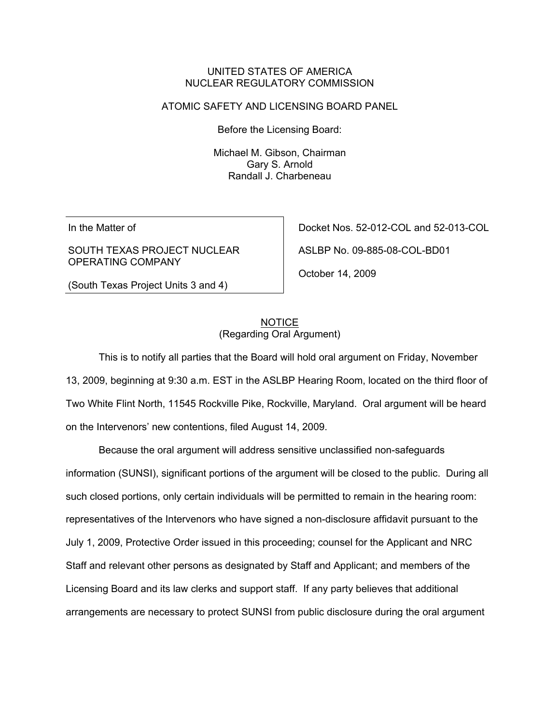#### UNITED STATES OF AMERICA NUCLEAR REGULATORY COMMISSION

#### ATOMIC SAFETY AND LICENSING BOARD PANEL

Before the Licensing Board:

Michael M. Gibson, Chairman Gary S. Arnold Randall J. Charbeneau

In the Matter of

SOUTH TEXAS PROJECT NUCLEAR OPERATING COMPANY

Docket Nos. 52-012-COL and 52-013-COL

ASLBP No. 09-885-08-COL-BD01

October 14, 2009

(South Texas Project Units 3 and 4)

# **NOTICE** (Regarding Oral Argument)

This is to notify all parties that the Board will hold oral argument on Friday, November 13, 2009, beginning at 9:30 a.m. EST in the ASLBP Hearing Room, located on the third floor of Two White Flint North, 11545 Rockville Pike, Rockville, Maryland. Oral argument will be heard on the Intervenors' new contentions, filed August 14, 2009.

 Because the oral argument will address sensitive unclassified non-safeguards information (SUNSI), significant portions of the argument will be closed to the public. During all such closed portions, only certain individuals will be permitted to remain in the hearing room: representatives of the Intervenors who have signed a non-disclosure affidavit pursuant to the July 1, 2009, Protective Order issued in this proceeding; counsel for the Applicant and NRC Staff and relevant other persons as designated by Staff and Applicant; and members of the Licensing Board and its law clerks and support staff. If any party believes that additional arrangements are necessary to protect SUNSI from public disclosure during the oral argument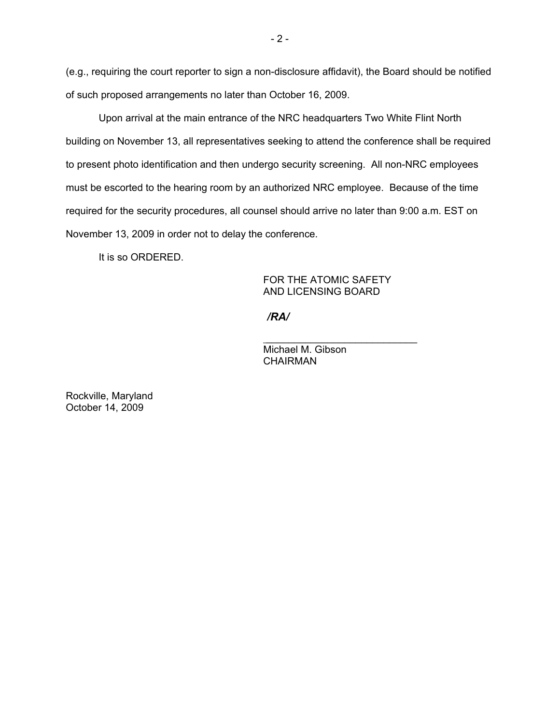(e.g., requiring the court reporter to sign a non-disclosure affidavit), the Board should be notified of such proposed arrangements no later than October 16, 2009.

 Upon arrival at the main entrance of the NRC headquarters Two White Flint North building on November 13, all representatives seeking to attend the conference shall be required to present photo identification and then undergo security screening. All non-NRC employees must be escorted to the hearing room by an authorized NRC employee. Because of the time required for the security procedures, all counsel should arrive no later than 9:00 a.m. EST on November 13, 2009 in order not to delay the conference.

It is so ORDERED.

### FOR THE ATOMIC SAFETY AND LICENSING BOARD

### */RA/*

 $\frac{1}{\sqrt{2}}$  , and the set of the set of the set of the set of the set of the set of the set of the set of the set of the set of the set of the set of the set of the set of the set of the set of the set of the set of the

 Michael M. Gibson CHAIRMAN

Rockville, Maryland October 14, 2009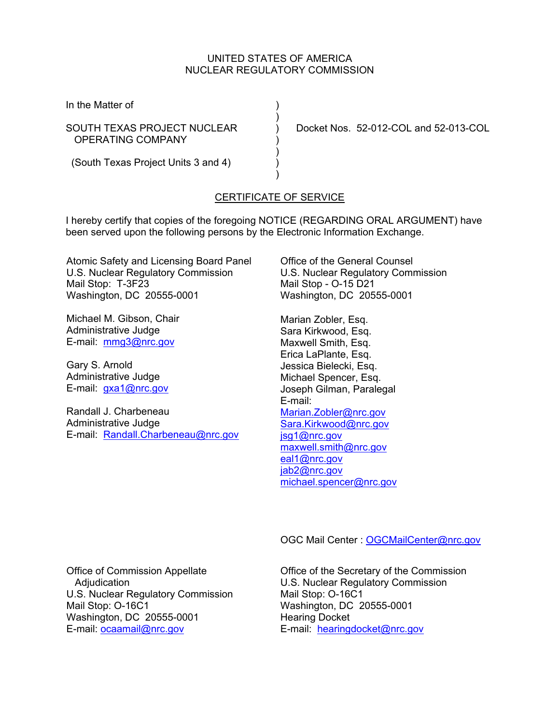## UNITED STATES OF AMERICA NUCLEAR REGULATORY COMMISSION

In the Matter of (1)

OPERATING COMPANY )

 $)$ 

 $)$ 

SOUTH TEXAS PROJECT NUCLEAR ) Docket Nos. 52-012-COL and 52-013-COL

 $)$ (South Texas Project Units 3 and 4) )

# CERTIFICATE OF SERVICE

I hereby certify that copies of the foregoing NOTICE (REGARDING ORAL ARGUMENT) have been served upon the following persons by the Electronic Information Exchange.

Atomic Safety and Licensing Board Panel U.S. Nuclear Regulatory Commission Mail Stop: T-3F23 Washington, DC 20555-0001

Michael M. Gibson, Chair Administrative Judge E-mail: mmg3@nrc.gov

Gary S. Arnold Administrative Judge E-mail: gxa1@nrc.gov

Randall J. Charbeneau Administrative Judge E-mail: Randall.Charbeneau@nrc.gov Office of the General Counsel U.S. Nuclear Regulatory Commission Mail Stop - O-15 D21 Washington, DC 20555-0001

Marian Zobler, Esq. Sara Kirkwood, Esq. Maxwell Smith, Esq. Erica LaPlante, Esq. Jessica Bielecki, Esq. Michael Spencer, Esq. Joseph Gilman, Paralegal E-mail: Marian.Zobler@nrc.gov Sara.Kirkwood@nrc.gov jsg1@nrc.gov maxwell.smith@nrc.gov eal1@nrc.gov iab2@nrc.gov michael.spencer@nrc.gov

OGC Mail Center : OGCMailCenter@nrc.gov

Office of Commission Appellate Adjudication U.S. Nuclear Regulatory Commission Mail Stop: O-16C1 Washington, DC 20555-0001 E-mail: ocaamail@nrc.gov

Office of the Secretary of the Commission U.S. Nuclear Regulatory Commission Mail Stop: O-16C1 Washington, DC 20555-0001 Hearing Docket E-mail: hearingdocket@nrc.gov